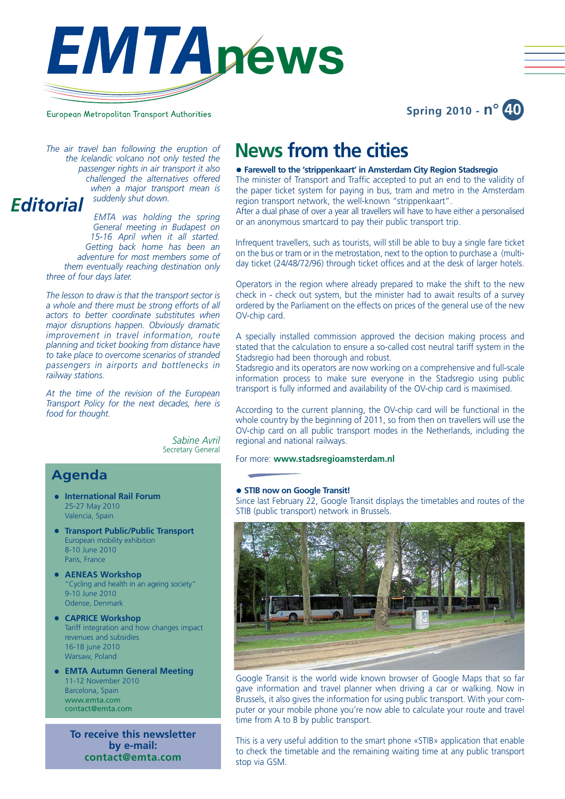



# European Metropolitan Transport Authorities

*the Icelandic volcano not only tested the passenger rights in air transport it also challenged the alternatives offered when a major transport mean is suddenly shut down. Editorial*

> *EMTA was holding the spring General meeting in Budapest on 15-16 April when it all started. Getting back home has been an adventure for most members some of them eventually reaching destination only three of four days later.*

> *The lesson to draw is that the transport sector is a whole and there must be strong efforts of all actors to better coordinate substitutes when major disruptions happen. Obviously dramatic improvement in travel information, route planning and ticket booking from distance have to take place to overcome scenarios of stranded passengers in airports and bottlenecks in railway stations.*

> *At the time of the revision of the European Transport Policy for the next decades, here is food for thought.*

> > *Sabine Avril* Secretary General

# **Agenda**

- **•** International Rail Forum 25-27 May 2010 Valencia, Spain
- **Transport Public/Public Transport** European mobility exhibition 8-10 June 2010 Paris, France
- **AENEAS Workshop** "Cycling and health in an ageing society" 9-10 June 2010 Odense, Denmark
- **CAPRICE Workshop** Tariff integration and how changes impact revenues and subsidies 16-18 june 2010 Warsaw, Poland
- **EMTA Autumn General Meeting** 11-12 November 2010 Barcelona, Spain www.emta.com contact@emta.com

**To receive this newsletter by e-mail: contact@emta.com**

# The air travel ban following the eruption of **News from the cities**

#### z **Farewell to the 'strippenkaart' in Amsterdam City Region Stadsregio**

The minister of Transport and Traffic accepted to put an end to the validity of the paper ticket system for paying in bus, tram and metro in the Amsterdam region transport network, the well-known "strippenkaart".

After a dual phase of over a year all travellers will have to have either a personalised or an anonymous smartcard to pay their public transport trip.

Infrequent travellers, such as tourists, will still be able to buy a single fare ticket on the bus or tram or in the metrostation, next to the option to purchase a (multiday ticket (24/48/72/96) through ticket offices and at the desk of larger hotels.

Operators in the region where already prepared to make the shift to the new check in - check out system, but the minister had to await results of a survey ordered by the Parliament on the effects on prices of the general use of the new OV-chip card.

A specially installed commission approved the decision making process and stated that the calculation to ensure a so-called cost neutral tariff system in the Stadsregio had been thorough and robust.

Stadsregio and its operators are now working on a comprehensive and full-scale information process to make sure everyone in the Stadsregio using public transport is fully informed and availability of the OV-chip card is maximised.

According to the current planning, the OV-chip card will be functional in the whole country by the beginning of 2011, so from then on travellers will use the OV-chip card on all public transport modes in the Netherlands, including the regional and national railways.

For more: **www.stadsregioamsterdam.nl**

#### **• STIB now on Google Transit!**

Since last February 22, Google Transit displays the timetables and routes of the STIB (public transport) network in Brussels.



Google Transit is the world wide known browser of Google Maps that so far gave information and travel planner when driving a car or walking. Now in Brussels, it also gives the information for using public transport. With your computer or your mobile phone you're now able to calculate your route and travel time from A to B by public transport.

This is a very useful addition to the smart phone «STIB» application that enable to check the timetable and the remaining waiting time at any public transport stop via GSM.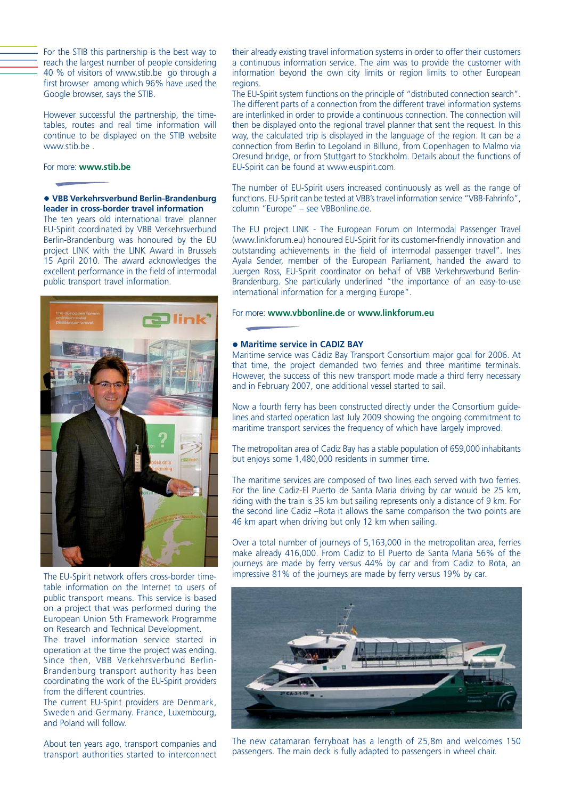For the STIB this partnership is the best way to reach the largest number of people considering 40 % of visitors of www.stib.be go through a first browser among which 96% have used the Google browser, says the STIB.

However successful the partnership, the timetables, routes and real time information will continue to be displayed on the STIB website www.stib.be .

#### For more: **www.stib.be**

#### **• VBB Verkehrsverbund Berlin-Brandenburg leader in cross-border travel information**

The ten years old international travel planner EU-Spirit coordinated by VBB Verkehrsverbund Berlin-Brandenburg was honoured by the EU project LINK with the LINK Award in Brussels 15 April 2010. The award acknowledges the excellent performance in the field of intermodal public transport travel information.



The EU-Spirit network offers cross-border timetable information on the Internet to users of public transport means. This service is based on a project that was performed during the European Union 5th Framework Programme on Research and Technical Development.

The travel information service started in operation at the time the project was ending. Since then, VBB Verkehrsverbund Berlin-Brandenburg transport authority has been coordinating the work of the EU-Spirit providers from the different countries.

The current EU-Spirit providers are Denmark. Sweden and Germany. France, Luxembourg, and Poland will follow.

About ten years ago, transport companies and transport authorities started to interconnect their already existing travel information systems in order to offer their customers a continuous information service. The aim was to provide the customer with information beyond the own city limits or region limits to other European regions.

The EU-Spirit system functions on the principle of "distributed connection search". The different parts of a connection from the different travel information systems are interlinked in order to provide a continuous connection. The connection will then be displayed onto the regional travel planner that sent the request. In this way, the calculated trip is displayed in the language of the region. It can be a connection from Berlin to Legoland in Billund, from Copenhagen to Malmo via Oresund bridge, or from Stuttgart to Stockholm. Details about the functions of EU-Spirit can be found at www.euspirit.com.

The number of EU-Spirit users increased continuously as well as the range of functions. EU-Spirit can be tested at VBB's travel information service "VBB-Fahrinfo", column "Europe" – see VBBonline.de.

The EU project LINK - The European Forum on Intermodal Passenger Travel (www.linkforum.eu) honoured EU-Spirit for its customer-friendly innovation and outstanding achievements in the field of intermodal passenger travel". Ines Ayala Sender, member of the European Parliament, handed the award to Juergen Ross, EU-Spirit coordinator on behalf of VBB Verkehrsverbund Berlin-Brandenburg. She particularly underlined "the importance of an easy-to-use international information for a merging Europe".

# For more: **www.vbbonline.de** or **www.linkforum.eu**

# **• Maritime service in CADIZ BAY**

Maritime service was Cádiz Bay Transport Consortium major goal for 2006. At that time, the project demanded two ferries and three maritime terminals. However, the success of this new transport mode made a third ferry necessary and in February 2007, one additional vessel started to sail.

Now a fourth ferry has been constructed directly under the Consortium guidelines and started operation last July 2009 showing the ongoing commitment to maritime transport services the frequency of which have largely improved.

The metropolitan area of Cadiz Bay has a stable population of 659,000 inhabitants but enjoys some 1,480,000 residents in summer time.

The maritime services are composed of two lines each served with two ferries. For the line Cadiz-El Puerto de Santa Maria driving by car would be 25 km, riding with the train is 35 km but sailing represents only a distance of 9 km. For the second line Cadiz –Rota it allows the same comparison the two points are 46 km apart when driving but only 12 km when sailing.

Over a total number of journeys of 5,163,000 in the metropolitan area, ferries make already 416,000. From Cadiz to El Puerto de Santa Maria 56% of the journeys are made by ferry versus 44% by car and from Cadiz to Rota, an impressive 81% of the journeys are made by ferry versus 19% by car.



The new catamaran ferryboat has a length of 25,8m and welcomes 150 passengers. The main deck is fully adapted to passengers in wheel chair.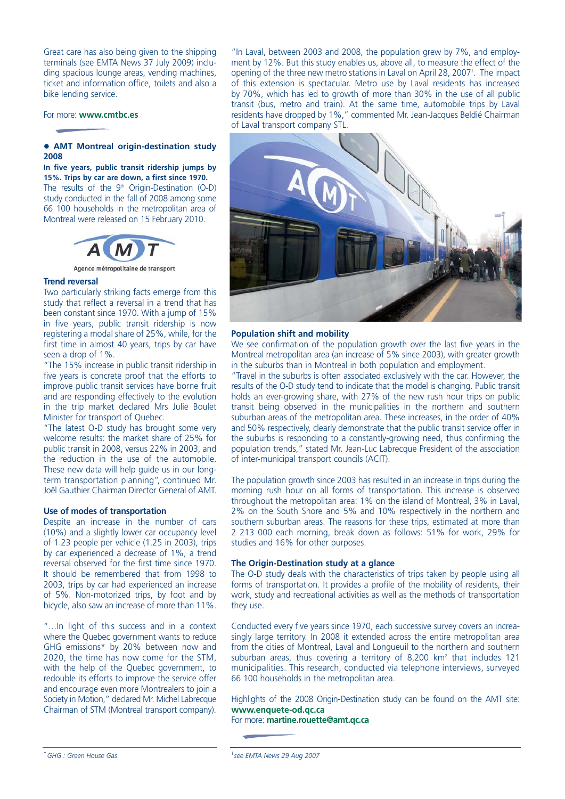Great care has also being given to the shipping terminals (see EMTA News 37 July 2009) including spacious lounge areas, vending machines, ticket and information office, toilets and also a bike lending service.

For more: **www.cmtbc.es**

# **• AMT Montreal origin-destination study 2008**

**In five years, public transit ridership jumps by 15%. Trips by car are down, a first since 1970.** The results of the  $9<sup>th</sup>$  Origin-Destination (O-D) study conducted in the fall of 2008 among some 66 100 households in the metropolitan area of Montreal were released on 15 February 2010.



Agence métropolitaine de transport

#### **Trend reversal**

Two particularly striking facts emerge from this study that reflect a reversal in a trend that has been constant since 1970. With a jump of 15% in five years, public transit ridership is now registering a modal share of 25%, while, for the first time in almost 40 years, trips by car have seen a drop of 1%.

"The 15% increase in public transit ridership in five years is concrete proof that the efforts to improve public transit services have borne fruit and are responding effectively to the evolution in the trip market declared Mrs Julie Boulet Minister for transport of Quebec.

"The latest O-D study has brought some very welcome results: the market share of 25% for public transit in 2008, versus 22% in 2003, and the reduction in the use of the automobile. These new data will help guide us in our longterm transportation planning", continued Mr. Joël Gauthier Chairman Director General of AMT.

#### **Use of modes of transportation**

Despite an increase in the number of cars (10%) and a slightly lower car occupancy level of 1.23 people per vehicle (1.25 in 2003), trips by car experienced a decrease of 1%, a trend reversal observed for the first time since 1970. It should be remembered that from 1998 to 2003, trips by car had experienced an increase of 5%. Non-motorized trips, by foot and by bicycle, also saw an increase of more than 11%.

"…In light of this success and in a context where the Quebec government wants to reduce GHG emissions\* by 20% between now and 2020, the time has now come for the STM, with the help of the Quebec government, to redouble its efforts to improve the service offer and encourage even more Montrealers to join a Society in Motion," declared Mr. Michel Labrecque Chairman of STM (Montreal transport company). "In Laval, between 2003 and 2008, the population grew by 7%, and employment by 12%. But this study enables us, above all, to measure the effect of the opening of the three new metro stations in Laval on April 28, 2007<sup>1</sup>. The impact of this extension is spectacular. Metro use by Laval residents has increased by 70%, which has led to growth of more than 30% in the use of all public transit (bus, metro and train). At the same time, automobile trips by Laval residents have dropped by 1%," commented Mr. Jean-Jacques Beldié Chairman of Laval transport company STL.



#### **Population shift and mobility**

We see confirmation of the population growth over the last five years in the Montreal metropolitan area (an increase of 5% since 2003), with greater growth in the suburbs than in Montreal in both population and employment.

"Travel in the suburbs is often associated exclusively with the car. However, the results of the O-D study tend to indicate that the model is changing. Public transit holds an ever-growing share, with 27% of the new rush hour trips on public transit being observed in the municipalities in the northern and southern suburban areas of the metropolitan area. These increases, in the order of 40% and 50% respectively, clearly demonstrate that the public transit service offer in the suburbs is responding to a constantly-growing need, thus confirming the population trends," stated Mr. Jean-Luc Labrecque President of the association of inter-municipal transport councils (ACIT).

The population growth since 2003 has resulted in an increase in trips during the morning rush hour on all forms of transportation. This increase is observed throughout the metropolitan area: 1% on the island of Montreal, 3% in Laval, 2% on the South Shore and 5% and 10% respectively in the northern and southern suburban areas. The reasons for these trips, estimated at more than 2 213 000 each morning, break down as follows: 51% for work, 29% for studies and 16% for other purposes.

#### **The Origin-Destination study at a glance**

The O-D study deals with the characteristics of trips taken by people using all forms of transportation. It provides a profile of the mobility of residents, their work, study and recreational activities as well as the methods of transportation they use.

Conducted every five years since 1970, each successive survey covers an increasingly large territory. In 2008 it extended across the entire metropolitan area from the cities of Montreal, Laval and Longueuil to the northern and southern suburban areas, thus covering a territory of 8,200  $km<sup>2</sup>$  that includes 121 municipalities. This research, conducted via telephone interviews, surveyed 66 100 households in the metropolitan area.

Highlights of the 2008 Origin-Destination study can be found on the AMT site: **www.enquete-od.qc.ca** For more: **martine.rouette@amt.qc.ca**

*<sup>1</sup> see EMTA News 29 Aug 2007*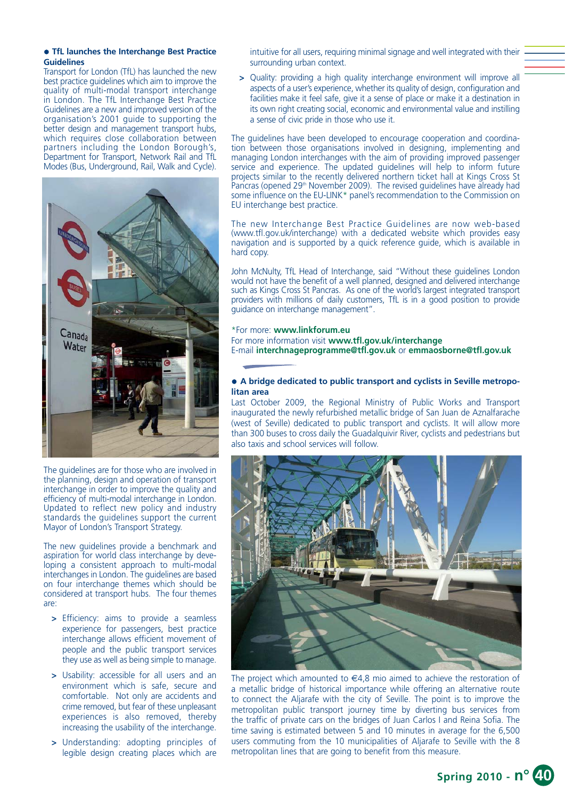#### **• TfL launches the Interchange Best Practice Guidelines**

Transport for London (TfL) has launched the new best practice guidelines which aim to improve the quality of multi-modal transport interchange in London. The TfL Interchange Best Practice Guidelines are a new and improved version of the organisation's 2001 guide to supporting the better design and management transport hubs, which requires close collaboration between partners including the London Borough's, Department for Transport, Network Rail and TfL Modes (Bus, Underground, Rail, Walk and Cycle).



The guidelines are for those who are involved in the planning, design and operation of transport interchange in order to improve the quality and efficiency of multi-modal interchange in London. Updated to reflect new policy and industry standards the guidelines support the current Mayor of London's Transport Strategy.

The new guidelines provide a benchmark and aspiration for world class interchange by developing a consistent approach to multi-modal interchanges in London. The guidelines are based on four interchange themes which should be considered at transport hubs. The four themes are:

- **>** Efficiency: aims to provide a seamless experience for passengers, best practice interchange allows efficient movement of people and the public transport services they use as well as being simple to manage.
- **>** Usability: accessible for all users and an environment which is safe, secure and comfortable. Not only are accidents and crime removed, but fear of these unpleasant experiences is also removed, thereby increasing the usability of the interchange.
- **>** Understanding: adopting principles of legible design creating places which are

intuitive for all users, requiring minimal signage and well integrated with their surrounding urban context.

**>** Quality: providing a high quality interchange environment will improve all aspects of a user's experience, whether its quality of design, configuration and facilities make it feel safe, give it a sense of place or make it a destination in its own right creating social, economic and environmental value and instilling a sense of civic pride in those who use it.

The guidelines have been developed to encourage cooperation and coordination between those organisations involved in designing, implementing and managing London interchanges with the aim of providing improved passenger service and experience. The updated guidelines will help to inform future projects similar to the recently delivered northern ticket hall at Kings Cross St Pancras (opened 29<sup>th</sup> November 2009). The revised guidelines have already had some influence on the EU-LINK\* panel's recommendation to the Commission on EU interchange best practice.

The new Interchange Best Practice Guidelines are now web-based (www.tfl.gov.uk/interchange) with a dedicated website which provides easy navigation and is supported by a quick reference guide, which is available in hard copy.

John McNulty, TfL Head of Interchange, said "Without these guidelines London would not have the benefit of a well planned, designed and delivered interchange such as Kings Cross St Pancras. As one of the world's largest integrated transport providers with millions of daily customers, TfL is in a good position to provide guidance on interchange management".

#### \*For more: **www.linkforum.eu**

For more information visit **www.tfl.gov.uk/interchange** E-mail **interchnageprogramme@tfl.gov.uk** or **emmaosborne@tfl.gov.uk**

# • A bridge dedicated to public transport and cyclists in Seville metropo**litan area**

Last October 2009, the Regional Ministry of Public Works and Transport inaugurated the newly refurbished metallic bridge of San Juan de Aznalfarache (west of Seville) dedicated to public transport and cyclists. It will allow more than 300 buses to cross daily the Guadalquivir River, cyclists and pedestrians but also taxis and school services will follow.



The project which amounted to  $\in 4,8$  mio aimed to achieve the restoration of a metallic bridge of historical importance while offering an alternative route to connect the Aljarafe with the city of Seville. The point is to improve the metropolitan public transport journey time by diverting bus services from the traffic of private cars on the bridges of Juan Carlos I and Reina Sofia. The time saving is estimated between 5 and 10 minutes in average for the 6,500 users commuting from the 10 municipalities of Aljarafe to Seville with the 8 metropolitan lines that are going to benefit from this measure.

**Spring 2010 - n° 40**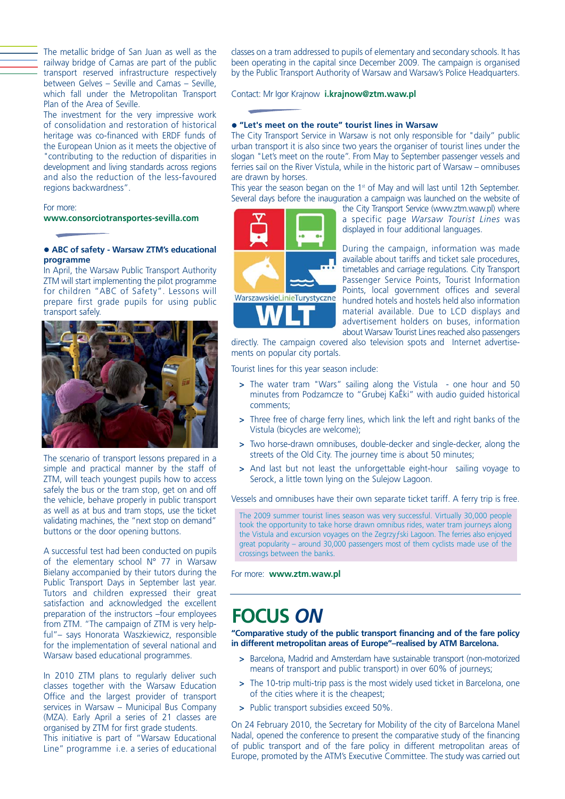The metallic bridge of San Juan as well as the railway bridge of Camas are part of the public transport reserved infrastructure respectively between Gelves – Seville and Camas – Seville, which fall under the Metropolitan Transport Plan of the Area of Seville.

The investment for the very impressive work of consolidation and restoration of historical heritage was co-financed with ERDF funds of the European Union as it meets the objective of "contributing to the reduction of disparities in development and living standards across regions and also the reduction of the less-favoured regions backwardness".

# For more: **www.consorciotransportes-sevilla.com**

#### z **ABC of safety - Warsaw ZTM's educational programme**

In April, the Warsaw Public Transport Authority ZTM will start implementing the pilot programme for children "ABC of Safety". Lessons will prepare first grade pupils for using public transport safely.



The scenario of transport lessons prepared in a simple and practical manner by the staff of ZTM, will teach youngest pupils how to access safely the bus or the tram stop, get on and off the vehicle, behave properly in public transport as well as at bus and tram stops, use the ticket validating machines, the "next stop on demand" buttons or the door opening buttons.

A successful test had been conducted on pupils of the elementary school N° 77 in Warsaw Bielany accompanied by their tutors during the Public Transport Days in September last year. Tutors and children expressed their great satisfaction and acknowledged the excellent preparation of the instructors –four employees from ZTM. "The campaign of ZTM is very helpful"– says Honorata Waszkiewicz, responsible for the implementation of several national and Warsaw based educational programmes.

In 2010 ZTM plans to regularly deliver such classes together with the Warsaw Education Office and the largest provider of transport services in Warsaw – Municipal Bus Company (MZA). Early April a series of 21 classes are organised by ZTM for first grade students. This initiative is part of "Warsaw Educational Line" programme i.e. a series of educational classes on a tram addressed to pupils of elementary and secondary schools. It has been operating in the capital since December 2009. The campaign is organised by the Public Transport Authority of Warsaw and Warsaw's Police Headquarters.

Contact: Mr Igor Krajnow **i.krajnow@ztm.waw.pl**

# z **"Let's meet on the route" tourist lines in Warsaw**

The City Transport Service in Warsaw is not only responsible for "daily" public urban transport it is also since two years the organiser of tourist lines under the slogan "Let's meet on the route". From May to September passenger vessels and ferries sail on the River Vistula, while in the historic part of Warsaw – omnibuses are drawn by horses.

This year the season began on the  $1<sup>st</sup>$  of May and will last until 12th September. Several days before the inauguration a campaign was launched on the website of

the City Transport Service (www.ztm.waw.pl) where a specific page *Warsaw Tourist Lines* was displayed in four additional languages.

During the campaign, information was made available about tariffs and ticket sale procedures, timetables and carriage regulations. City Transport Passenger Service Points, Tourist Information Points, local government offices and several hundred hotels and hostels held also information material available. Due to LCD displays and advertisement holders on buses, information about Warsaw Tourist Lines reached also passengers

directly. The campaign covered also television spots and Internet advertisements on popular city portals.

Tourist lines for this year season include:

- **>** The water tram "Wars" sailing along the Vistula one hour and 50 minutes from Podzamcze to "Grubej KaÊki" with audio guided historical comments;
- **>** Three free of charge ferry lines, which link the left and right banks of the Vistula (bicycles are welcome);
- **>** Two horse-drawn omnibuses, double-decker and single-decker, along the streets of the Old City. The journey time is about 50 minutes;
- **>** And last but not least the unforgettable eight-hour sailing voyage to Serock, a little town lying on the Sulejow Lagoon.

Vessels and omnibuses have their own separate ticket tariff. A ferry trip is free.

The 2009 summer tourist lines season was very successful. Virtually 30,000 people took the opportunity to take horse drawn omnibus rides, water tram journeys along the Vistula and excursion voyages on the Zegrzyƒski Lagoon. The ferries also enjoyed great popularity – around 30,000 passengers most of them cyclists made use of the crossings between the banks.

For more: **www.ztm.waw.pl**

# **FOCUS** *ON*

**"Comparative study of the public transport financing and of the fare policy in different metropolitan areas of Europe"–realised by ATM Barcelona.**

- **>** Barcelona, Madrid and Amsterdam have sustainable transport (non-motorized means of transport and public transport) in over 60% of journeys;
- **>** The 10-trip multi-trip pass is the most widely used ticket in Barcelona, one of the cities where it is the cheapest;
- **>** Public transport subsidies exceed 50%.

On 24 February 2010, the Secretary for Mobility of the city of Barcelona Manel Nadal, opened the conference to present the comparative study of the financing of public transport and of the fare policy in different metropolitan areas of Europe, promoted by the ATM's Executive Committee. The study was carried out